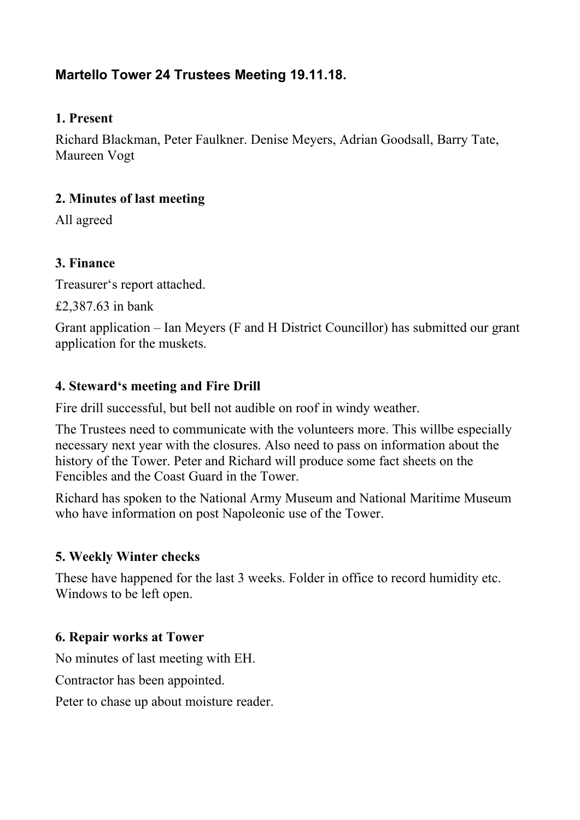# **Martello Tower 24 Trustees Meeting 19.11.18.**

#### **1. Present**

Richard Blackman, Peter Faulkner. Denise Meyers, Adrian Goodsall, Barry Tate, Maureen Vogt

#### **2. Minutes of last meeting**

All agreed

### **3. Finance**

Treasurer's report attached.

£2,387.63 in bank

Grant application – Ian Meyers (F and H District Councillor) has submitted our grant application for the muskets.

### **4. Steward's meeting and Fire Drill**

Fire drill successful, but bell not audible on roof in windy weather.

The Trustees need to communicate with the volunteers more. This willbe especially necessary next year with the closures. Also need to pass on information about the history of the Tower. Peter and Richard will produce some fact sheets on the Fencibles and the Coast Guard in the Tower.

Richard has spoken to the National Army Museum and National Maritime Museum who have information on post Napoleonic use of the Tower.

### **5. Weekly Winter checks**

These have happened for the last 3 weeks. Folder in office to record humidity etc. Windows to be left open.

### **6. Repair works at Tower**

No minutes of last meeting with EH.

Contractor has been appointed.

Peter to chase up about moisture reader.